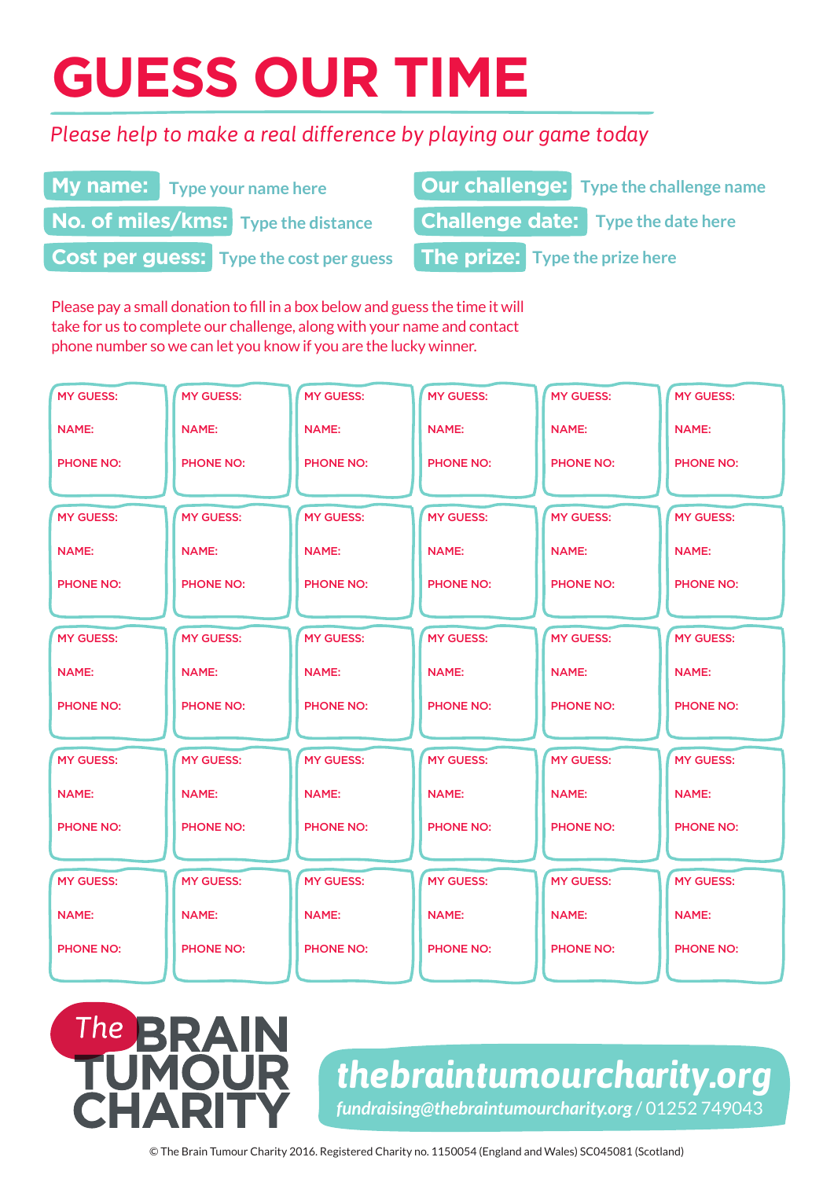# **GUESS OUR TIME**

### *Please help to make a real difference by playing our game today*

| <b>My name:</b> Type your name here | <b>Our challenge:</b> Type the challenge name                                 |
|-------------------------------------|-------------------------------------------------------------------------------|
| No. of miles/kms: Type the distance | <b>Challenge date:</b> Type the date here                                     |
|                                     | <b>Cost per guess:</b> Type the cost per guess The prize: Type the prize here |

Please pay a small donation to fill in a box below and guess the time it will take for us to complete our challenge, along with your name and contact phone number so we can let you know if you are the lucky winner.

 $The$ 

RA

| <b>MY GUESS:</b> | <b>MY GUESS:</b> | <b>MY GUESS:</b> | <b>MY GUESS:</b> | <b>MY GUESS:</b> | <b>MY GUESS:</b> |
|------------------|------------------|------------------|------------------|------------------|------------------|
| <b>NAME:</b>     | <b>NAME:</b>     | <b>NAME:</b>     | <b>NAME:</b>     | <b>NAME:</b>     | <b>NAME:</b>     |
| <b>PHONE NO:</b> | <b>PHONE NO:</b> | <b>PHONE NO:</b> | <b>PHONE NO:</b> | <b>PHONE NO:</b> | <b>PHONE NO:</b> |
|                  |                  |                  |                  |                  |                  |
| <b>MY GUESS:</b> | <b>MY GUESS:</b> | <b>MY GUESS:</b> | <b>MY GUESS:</b> | <b>MY GUESS:</b> | <b>MY GUESS:</b> |
| <b>NAME:</b>     | <b>NAME:</b>     | <b>NAME:</b>     | <b>NAME:</b>     | <b>NAME:</b>     | <b>NAME:</b>     |
| <b>PHONE NO:</b> | <b>PHONE NO:</b> | <b>PHONE NO:</b> | <b>PHONE NO:</b> | <b>PHONE NO:</b> | <b>PHONE NO:</b> |
|                  |                  |                  |                  |                  |                  |
| <b>MY GUESS:</b> | <b>MY GUESS:</b> | <b>MY GUESS:</b> | <b>MY GUESS:</b> | <b>MY GUESS:</b> | <b>MY GUESS:</b> |
| <b>NAME:</b>     | <b>NAME:</b>     | <b>NAME:</b>     | <b>NAME:</b>     | <b>NAME:</b>     | <b>NAME:</b>     |
| <b>PHONE NO:</b> | <b>PHONE NO:</b> | <b>PHONE NO:</b> | <b>PHONE NO:</b> | <b>PHONE NO:</b> | <b>PHONE NO:</b> |
|                  |                  |                  |                  |                  |                  |
| <b>MY GUESS:</b> | <b>MY GUESS:</b> | <b>MY GUESS:</b> | <b>MY GUESS:</b> | <b>MY GUESS:</b> | <b>MY GUESS:</b> |
| <b>NAME:</b>     | <b>NAME:</b>     | <b>NAME:</b>     | <b>NAME:</b>     | <b>NAME:</b>     | <b>NAME:</b>     |
| <b>PHONE NO:</b> | <b>PHONE NO:</b> | <b>PHONE NO:</b> | <b>PHONE NO:</b> | <b>PHONE NO:</b> | <b>PHONE NO:</b> |
|                  |                  |                  |                  |                  |                  |
| <b>MY GUESS:</b> | <b>MY GUESS:</b> | <b>MY GUESS:</b> | <b>MY GUESS:</b> | <b>MY GUESS:</b> | <b>MY GUESS:</b> |
| <b>NAME:</b>     | <b>NAME:</b>     | <b>NAME:</b>     | <b>NAME:</b>     | <b>NAME:</b>     | <b>NAME:</b>     |
| <b>PHONE NO:</b> | <b>PHONE NO:</b> | <b>PHONE NO:</b> | <b>PHONE NO:</b> | <b>PHONE NO:</b> | <b>PHONE NO:</b> |
|                  |                  |                  |                  |                  |                  |

## *thebraintumourcharity.org fundraising@thebraintumourcharity.org* / 01252 749043